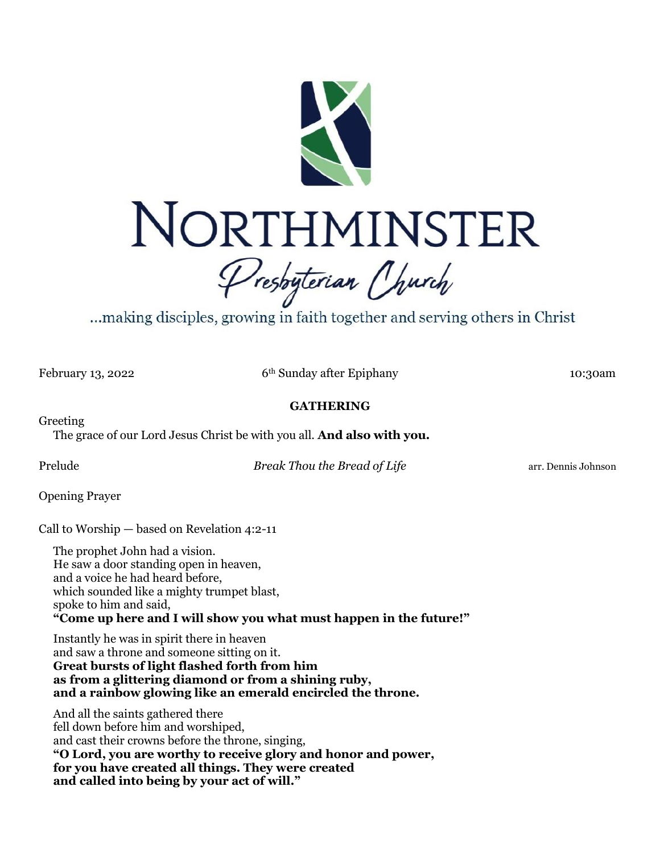

...making disciples, growing in faith together and serving others in Christ

February 13, 2022 6<sup>th</sup> Sunday after Epiphany 10:30am

## **GATHERING**

Greeting The grace of our Lord Jesus Christ be with you all. **And also with you.**

**Prelude Break Thou the Bread of Life arr.** Dennis Johnson **Break Thou the Bread of Life** 

Opening Prayer

Call to Worship — based on Revelation 4:2-11

The prophet John had a vision. He saw a door standing open in heaven, and a voice he had heard before, which sounded like a mighty trumpet blast, spoke to him and said, **"Come up here and I will show you what must happen in the future!"**

Instantly he was in spirit there in heaven and saw a throne and someone sitting on it. **Great bursts of light flashed forth from him as from a glittering diamond or from a shining ruby, and a rainbow glowing like an emerald encircled the throne.**

And all the saints gathered there fell down before him and worshiped, and cast their crowns before the throne, singing, **"O Lord, you are worthy to receive glory and honor and power, for you have created all things. They were created and called into being by your act of will."**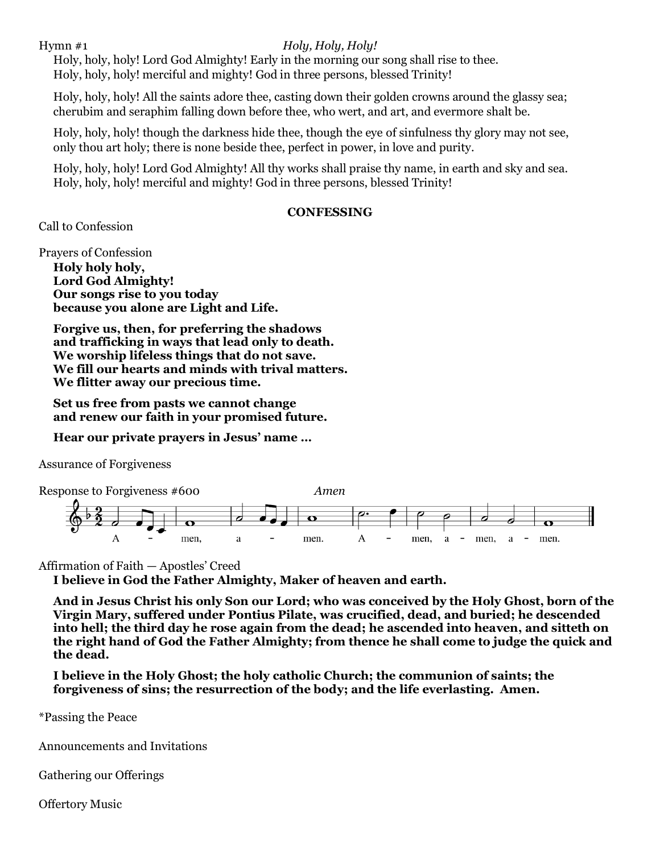Hymn #1 *Holy, Holy, Holy!*

Holy, holy, holy! Lord God Almighty! Early in the morning our song shall rise to thee. Holy, holy, holy! merciful and mighty! God in three persons, blessed Trinity!

Holy, holy, holy! All the saints adore thee, casting down their golden crowns around the glassy sea; cherubim and seraphim falling down before thee, who wert, and art, and evermore shalt be.

Holy, holy, holy! though the darkness hide thee, though the eye of sinfulness thy glory may not see, only thou art holy; there is none beside thee, perfect in power, in love and purity.

Holy, holy, holy! Lord God Almighty! All thy works shall praise thy name, in earth and sky and sea. Holy, holy, holy! merciful and mighty! God in three persons, blessed Trinity!

## **CONFESSING**

Call to Confession

Prayers of Confession

**Holy holy holy, Lord God Almighty! Our songs rise to you today because you alone are Light and Life.**

**Forgive us, then, for preferring the shadows and trafficking in ways that lead only to death. We worship lifeless things that do not save. We fill our hearts and minds with trival matters. We flitter away our precious time.**

**Set us free from pasts we cannot change and renew our faith in your promised future.**

**Hear our private prayers in Jesus' name …**

Assurance of Forgiveness



Affirmation of Faith — Apostles' Creed

**I believe in God the Father Almighty, Maker of heaven and earth.**

**And in Jesus Christ his only Son our Lord; who was conceived by the Holy Ghost, born of the Virgin Mary, suffered under Pontius Pilate, was crucified, dead, and buried; he descended into hell; the third day he rose again from the dead; he ascended into heaven, and sitteth on the right hand of God the Father Almighty; from thence he shall come to judge the quick and the dead.**

**I believe in the Holy Ghost; the holy catholic Church; the communion of saints; the forgiveness of sins; the resurrection of the body; and the life everlasting. Amen.**

\*Passing the Peace

Announcements and Invitations

Gathering our Offerings

Offertory Music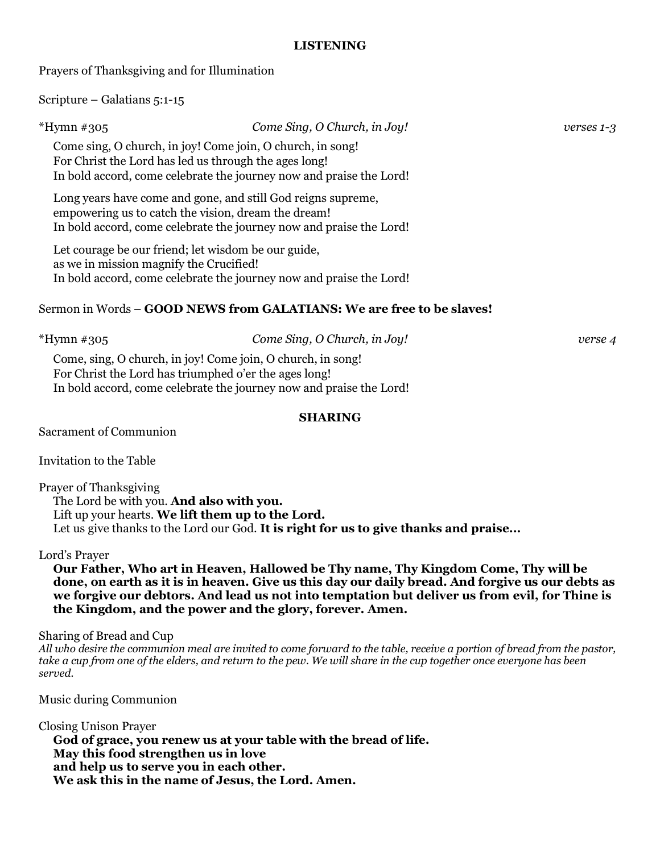## **LISTENING**

Prayers of Thanksgiving and for Illumination

Scripture – Galatians 5:1-15

| *Hymn #305                              | Come Sing, O Church, in Joy!                                                                                                                                                               | verses 1-3 |
|-----------------------------------------|--------------------------------------------------------------------------------------------------------------------------------------------------------------------------------------------|------------|
|                                         | Come sing, O church, in joy! Come join, O church, in song!<br>For Christ the Lord has led us through the ages long!<br>In bold accord, come celebrate the journey now and praise the Lord! |            |
|                                         | Long years have come and gone, and still God reigns supreme,<br>empowering us to catch the vision, dream the dream!<br>In bold accord, come celebrate the journey now and praise the Lord! |            |
| as we in mission magnify the Crucified! | Let courage be our friend; let wisdom be our guide,<br>In bold accord, come celebrate the journey now and praise the Lord!                                                                 |            |
|                                         | Sermon in Words – GOOD NEWS from GALATIANS: We are free to be slaves!                                                                                                                      |            |
| *Hymn #305                              | Come Sing, O Church, in Joy!                                                                                                                                                               | verse 4    |

Come, sing, O church, in joy! Come join, O church, in song! For Christ the Lord has triumphed o'er the ages long! In bold accord, come celebrate the journey now and praise the Lord!

### **SHARING**

Sacrament of Communion

Invitation to the Table

Prayer of Thanksgiving The Lord be with you. **And also with you.**  Lift up your hearts. **We lift them up to the Lord.**  Let us give thanks to the Lord our God. It is right for us to give thanks and praise...

## Lord's Prayer

**Our Father, Who art in Heaven, Hallowed be Thy name, Thy Kingdom Come, Thy will be done, on earth as it is in heaven. Give us this day our daily bread. And forgive us our debts as we forgive our debtors. And lead us not into temptation but deliver us from evil, for Thine is the Kingdom, and the power and the glory, forever. Amen.** 

## Sharing of Bread and Cup

*All who desire the communion meal are invited to come forward to the table, receive a portion of bread from the pastor, take a cup from one of the elders, and return to the pew. We will share in the cup together once everyone has been served.* 

Music during Communion

Closing Unison Prayer **God of grace, you renew us at your table with the bread of life. May this food strengthen us in love and help us to serve you in each other. We ask this in the name of Jesus, the Lord. Amen.**